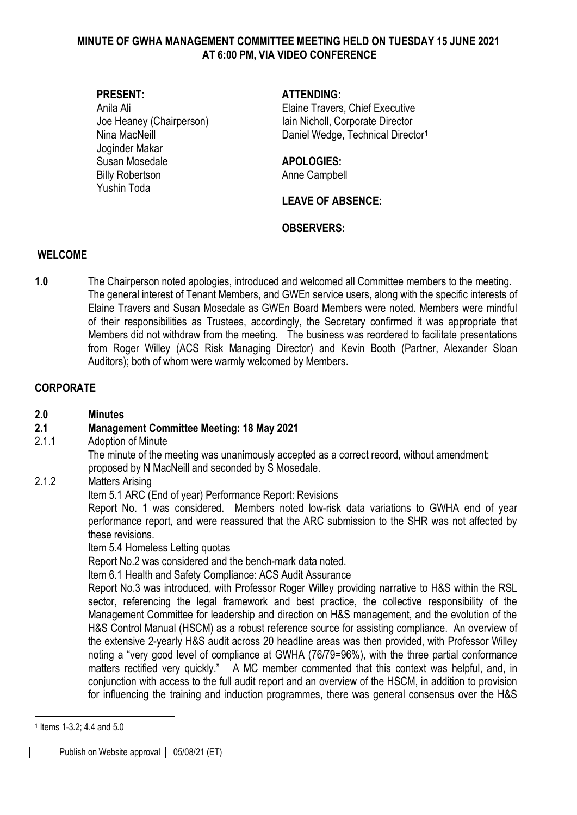### **MINUTE OF GWHA MANAGEMENT COMMITTEE MEETING HELD ON TUESDAY 15 JUNE 2021 AT 6:00 PM, VIA VIDEO CONFERENCE**

Joginder Makar Susan Mosedale **APOLOGIES:** Billy Robertson **Anne Campbell** Yushin Toda

### **PRESENT: ATTENDING:**

Anila Ali **Anila Ali** Elaine Travers, Chief Executive Joe Heaney (Chairperson) Iain Nicholl, Corporate Director Nina MacNeill **Nina MacNet All Accord** Daniel Wedge, Technical Director<sup>[1](#page-0-0)</sup>

**LEAVE OF ABSENCE:** 

### **OBSERVERS:**

#### **WELCOME**

**1.0** The Chairperson noted apologies, introduced and welcomed all Committee members to the meeting. The general interest of Tenant Members, and GWEn service users, along with the specific interests of Elaine Travers and Susan Mosedale as GWEn Board Members were noted. Members were mindful of their responsibilities as Trustees, accordingly, the Secretary confirmed it was appropriate that Members did not withdraw from the meeting. The business was reordered to facilitate presentations from Roger Willey (ACS Risk Managing Director) and Kevin Booth (Partner, Alexander Sloan Auditors); both of whom were warmly welcomed by Members.

## **CORPORATE**

**2.0 Minutes**

## **2.1 Management Committee Meeting: 18 May 2021**

2.1.1 Adoption of Minute

The minute of the meeting was unanimously accepted as a correct record, without amendment; proposed by N MacNeill and seconded by S Mosedale.

2.1.2 Matters Arising

Item 5.1 ARC (End of year) Performance Report: Revisions

Report No. 1 was considered. Members noted low-risk data variations to GWHA end of year performance report, and were reassured that the ARC submission to the SHR was not affected by these revisions.

Item 5.4 Homeless Letting quotas

Report No.2 was considered and the bench-mark data noted.

Item 6.1 Health and Safety Compliance: ACS Audit Assurance

Report No.3 was introduced, with Professor Roger Willey providing narrative to H&S within the RSL sector, referencing the legal framework and best practice, the collective responsibility of the Management Committee for leadership and direction on H&S management, and the evolution of the H&S Control Manual (HSCM) as a robust reference source for assisting compliance. An overview of the extensive 2-yearly H&S audit across 20 headline areas was then provided, with Professor Willey noting a "very good level of compliance at GWHA (76/79=96%), with the three partial conformance matters rectified very quickly." A MC member commented that this context was helpful, and, in conjunction with access to the full audit report and an overview of the HSCM, in addition to provision for influencing the training and induction programmes, there was general consensus over the H&S

<u>.</u>

<span id="page-0-0"></span><sup>1</sup> Items 1-3.2; 4.4 and 5.0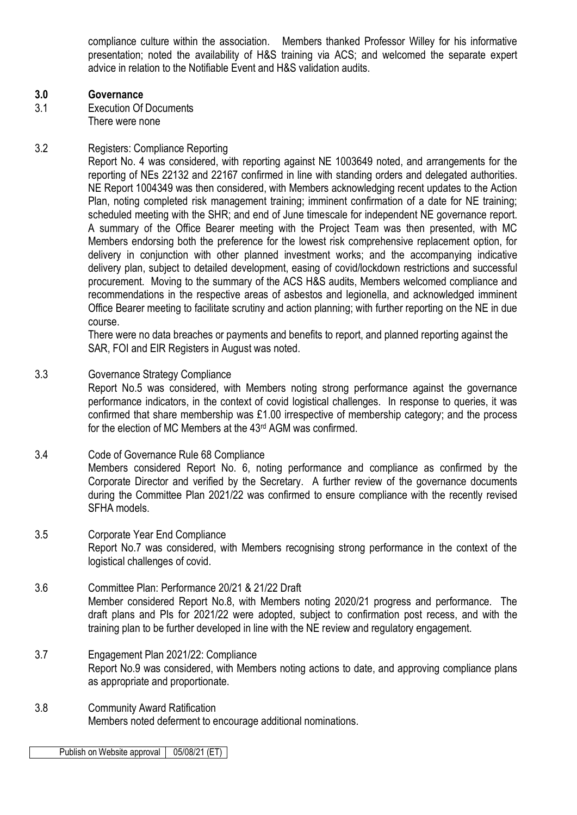compliance culture within the association. Members thanked Professor Willey for his informative presentation; noted the availability of H&S training via ACS; and welcomed the separate expert advice in relation to the Notifiable Event and H&S validation audits.

#### **3.0 Governance**

3.1 Execution Of Documents There were none

### 3.2 Registers: Compliance Reporting

Report No. 4 was considered, with reporting against NE 1003649 noted, and arrangements for the reporting of NEs 22132 and 22167 confirmed in line with standing orders and delegated authorities. NE Report 1004349 was then considered, with Members acknowledging recent updates to the Action Plan, noting completed risk management training; imminent confirmation of a date for NE training; scheduled meeting with the SHR; and end of June timescale for independent NE governance report. A summary of the Office Bearer meeting with the Project Team was then presented, with MC Members endorsing both the preference for the lowest risk comprehensive replacement option, for delivery in conjunction with other planned investment works; and the accompanying indicative delivery plan, subject to detailed development, easing of covid/lockdown restrictions and successful procurement. Moving to the summary of the ACS H&S audits, Members welcomed compliance and recommendations in the respective areas of asbestos and legionella, and acknowledged imminent Office Bearer meeting to facilitate scrutiny and action planning; with further reporting on the NE in due course.

There were no data breaches or payments and benefits to report, and planned reporting against the SAR, FOI and EIR Registers in August was noted.

### 3.3 Governance Strategy Compliance

Report No.5 was considered, with Members noting strong performance against the governance performance indicators, in the context of covid logistical challenges. In response to queries, it was confirmed that share membership was £1.00 irrespective of membership category; and the process for the election of MC Members at the 43rd AGM was confirmed.

## 3.4 Code of Governance Rule 68 Compliance Members considered Report No. 6, noting performance and compliance as confirmed by the Corporate Director and verified by the Secretary. A further review of the governance documents during the Committee Plan 2021/22 was confirmed to ensure compliance with the recently revised SFHA models.

#### 3.5 Corporate Year End Compliance Report No.7 was considered, with Members recognising strong performance in the context of the logistical challenges of covid.

- 3.6 Committee Plan: Performance 20/21 & 21/22 Draft Member considered Report No.8, with Members noting 2020/21 progress and performance. The draft plans and PIs for 2021/22 were adopted, subject to confirmation post recess, and with the training plan to be further developed in line with the NE review and regulatory engagement.
- 3.7 Engagement Plan 2021/22: Compliance Report No.9 was considered, with Members noting actions to date, and approving compliance plans as appropriate and proportionate.
- 3.8 Community Award Ratification Members noted deferment to encourage additional nominations.

Publish on Website approval | 05/08/21 (ET)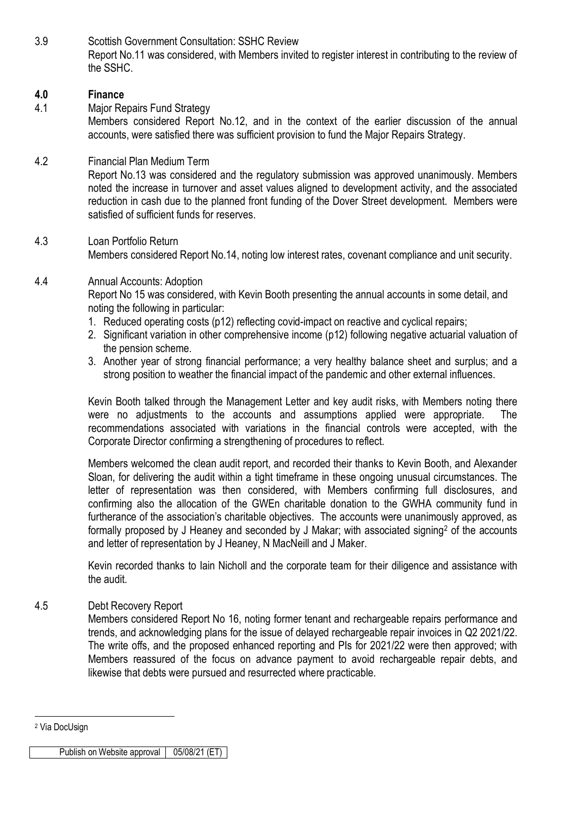3.9 Scottish Government Consultation: SSHC Review Report No.11 was considered, with Members invited to register interest in contributing to the review of the SSHC.

## **4.0 Finance**

4.1 Major Repairs Fund Strategy Members considered Report No.12, and in the context of the earlier discussion of the annual accounts, were satisfied there was sufficient provision to fund the Major Repairs Strategy.

### 4.2 Financial Plan Medium Term

Report No.13 was considered and the regulatory submission was approved unanimously. Members noted the increase in turnover and asset values aligned to development activity, and the associated reduction in cash due to the planned front funding of the Dover Street development. Members were satisfied of sufficient funds for reserves.

## 4.3 Loan Portfolio Return Members considered Report No.14, noting low interest rates, covenant compliance and unit security.

#### 4.4 Annual Accounts: Adoption

Report No 15 was considered, with Kevin Booth presenting the annual accounts in some detail, and noting the following in particular:

- 1. Reduced operating costs (p12) reflecting covid-impact on reactive and cyclical repairs;
- 2. Significant variation in other comprehensive income (p12) following negative actuarial valuation of the pension scheme.
- 3. Another year of strong financial performance; a very healthy balance sheet and surplus; and a strong position to weather the financial impact of the pandemic and other external influences.

Kevin Booth talked through the Management Letter and key audit risks, with Members noting there were no adjustments to the accounts and assumptions applied were appropriate. The recommendations associated with variations in the financial controls were accepted, with the Corporate Director confirming a strengthening of procedures to reflect.

Members welcomed the clean audit report, and recorded their thanks to Kevin Booth, and Alexander Sloan, for delivering the audit within a tight timeframe in these ongoing unusual circumstances. The letter of representation was then considered, with Members confirming full disclosures, and confirming also the allocation of the GWEn charitable donation to the GWHA community fund in furtherance of the association's charitable objectives. The accounts were unanimously approved, as formally proposed by J Heaney and seconded by J Makar; with associated signing<sup>2</sup> of the accounts and letter of representation by J Heaney, N MacNeill and J Maker.

Kevin recorded thanks to Iain Nicholl and the corporate team for their diligence and assistance with the audit.

#### 4.5 Debt Recovery Report

Members considered Report No 16, noting former tenant and rechargeable repairs performance and trends, and acknowledging plans for the issue of delayed rechargeable repair invoices in Q2 2021/22. The write offs, and the proposed enhanced reporting and PIs for 2021/22 were then approved; with Members reassured of the focus on advance payment to avoid rechargeable repair debts, and likewise that debts were pursued and resurrected where practicable.

<u>.</u>

<span id="page-2-0"></span><sup>2</sup> Via DocUsign